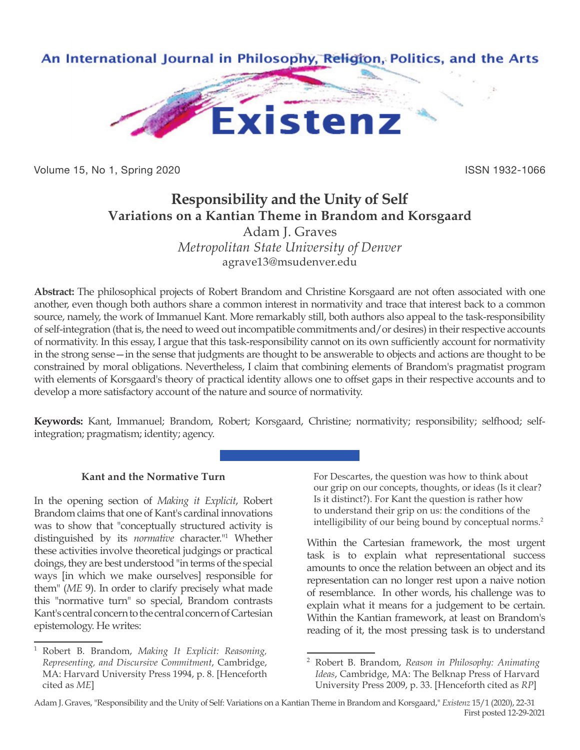

Volume 15, No 1, Spring 2020 **ISSN 1932-1066** ISSN 1932-1066

# **Responsibility and the Unity of Self Variations on a Kantian Theme in Brandom and Korsgaard**

Adam J. Graves *Metropolitan State University of Denver* agrave13@msudenver.edu

**Abstract:** The philosophical projects of Robert Brandom and Christine Korsgaard are not often associated with one another, even though both authors share a common interest in normativity and trace that interest back to a common source, namely, the work of Immanuel Kant. More remarkably still, both authors also appeal to the task-responsibility of self-integration (that is, the need to weed out incompatible commitments and/or desires) in their respective accounts of normativity. In this essay, I argue that this task-responsibility cannot on its own sufficiently account for normativity in the strong sense—in the sense that judgments are thought to be answerable to objects and actions are thought to be constrained by moral obligations. Nevertheless, I claim that combining elements of Brandom's pragmatist program with elements of Korsgaard's theory of practical identity allows one to offset gaps in their respective accounts and to develop a more satisfactory account of the nature and source of normativity.

**Keywords:** Kant, Immanuel; Brandom, Robert; Korsgaard, Christine; normativity; responsibility; selfhood; selfintegration; pragmatism; identity; agency.

## **Kant and the Normative Turn**

In the opening section of *Making it Explicit*, Robert Brandom claims that one of Kant's cardinal innovations was to show that "conceptually structured activity is distinguished by its *normative* character."1 Whether these activities involve theoretical judgings or practical doings, they are best understood "in terms of the special ways [in which we make ourselves] responsible for them" (*ME* 9). In order to clarify precisely what made this "normative turn" so special, Brandom contrasts Kant's central concern to the central concern of Cartesian epistemology. He writes:

For Descartes, the question was how to think about our grip on our concepts, thoughts, or ideas (Is it clear? Is it distinct?). For Kant the question is rather how to understand their grip on us: the conditions of the intelligibility of our being bound by conceptual norms.<sup>2</sup>

Within the Cartesian framework, the most urgent task is to explain what representational success amounts to once the relation between an object and its representation can no longer rest upon a naive notion of resemblance. In other words, his challenge was to explain what it means for a judgement to be certain. Within the Kantian framework, at least on Brandom's reading of it, the most pressing task is to understand

<sup>1</sup> Robert B. Brandom, *Making It Explicit: Reasoning, Representing, and Discursive Commitment*, Cambridge, MA: Harvard University Press 1994, p. 8. [Henceforth cited as *ME*]

<sup>2</sup> Robert B. Brandom, *Reason in Philosophy: Animating Ideas*, Cambridge, MA: The Belknap Press of Harvard University Press 2009, p. 33. [Henceforth cited as *RP*]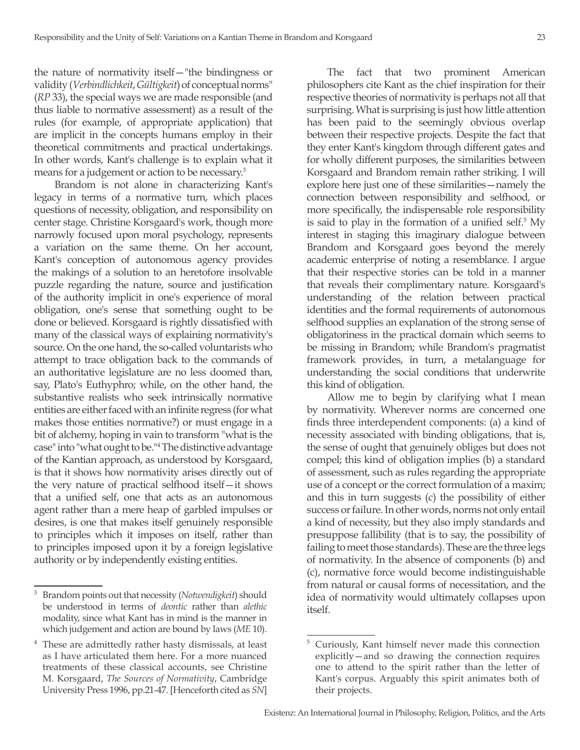the nature of normativity itself—"the bindingness or validity (*Verbindlichkeit*, *Gültigkeit*) of conceptual norms" (*RP* 33), the special ways we are made responsible (and thus liable to normative assessment) as a result of the rules (for example, of appropriate application) that are implicit in the concepts humans employ in their theoretical commitments and practical undertakings. In other words, Kant's challenge is to explain what it means for a judgement or action to be necessary.3

Brandom is not alone in characterizing Kant's legacy in terms of a normative turn, which places questions of necessity, obligation, and responsibility on center stage. Christine Korsgaard's work, though more narrowly focused upon moral psychology, represents a variation on the same theme. On her account, Kant's conception of autonomous agency provides the makings of a solution to an heretofore insolvable puzzle regarding the nature, source and justification of the authority implicit in one's experience of moral obligation, one's sense that something ought to be done or believed. Korsgaard is rightly dissatisfied with many of the classical ways of explaining normativity's source. On the one hand, the so-called voluntarists who attempt to trace obligation back to the commands of an authoritative legislature are no less doomed than, say, Plato's Euthyphro; while, on the other hand, the substantive realists who seek intrinsically normative entities are either faced with an infinite regress (for what makes those entities normative?) or must engage in a bit of alchemy, hoping in vain to transform "what is the case" into "what ought to be."4 The distinctive advantage of the Kantian approach, as understood by Korsgaard, is that it shows how normativity arises directly out of the very nature of practical selfhood itself—it shows that a unified self, one that acts as an autonomous agent rather than a mere heap of garbled impulses or desires, is one that makes itself genuinely responsible to principles which it imposes on itself, rather than to principles imposed upon it by a foreign legislative authority or by independently existing entities.

The fact that two prominent American philosophers cite Kant as the chief inspiration for their respective theories of normativity is perhaps not all that surprising. What is surprising is just how little attention has been paid to the seemingly obvious overlap between their respective projects. Despite the fact that they enter Kant's kingdom through different gates and for wholly different purposes, the similarities between Korsgaard and Brandom remain rather striking. I will explore here just one of these similarities—namely the connection between responsibility and selfhood, or more specifically, the indispensable role responsibility is said to play in the formation of a unified self. $5 \text{ My}$ interest in staging this imaginary dialogue between Brandom and Korsgaard goes beyond the merely academic enterprise of noting a resemblance. I argue that their respective stories can be told in a manner that reveals their complimentary nature. Korsgaard's understanding of the relation between practical identities and the formal requirements of autonomous selfhood supplies an explanation of the strong sense of obligatoriness in the practical domain which seems to be missing in Brandom; while Brandom's pragmatist framework provides, in turn, a metalanguage for understanding the social conditions that underwrite this kind of obligation.

Allow me to begin by clarifying what I mean by normativity. Wherever norms are concerned one finds three interdependent components: (a) a kind of necessity associated with binding obligations, that is, the sense of ought that genuinely obliges but does not compel; this kind of obligation implies (b) a standard of assessment, such as rules regarding the appropriate use of a concept or the correct formulation of a maxim; and this in turn suggests (c) the possibility of either success or failure. In other words, norms not only entail a kind of necessity, but they also imply standards and presuppose fallibility (that is to say, the possibility of failing to meet those standards). These are the three legs of normativity. In the absence of components (b) and (c), normative force would become indistinguishable from natural or causal forms of necessitation, and the idea of normativity would ultimately collapses upon itself.

<sup>3</sup> Brandom points out that necessity (*Notwendigkeit*) should be understood in terms of *deontic* rather than *alethic* modality, since what Kant has in mind is the manner in which judgement and action are bound by laws (*ME* 10).

<sup>4</sup> These are admittedly rather hasty dismissals, at least as I have articulated them here. For a more nuanced treatments of these classical accounts, see Christine M. Korsgaard, *The Sources of Normativity*, Cambridge University Press 1996, pp.21-47. [Henceforth cited as *SN*]

<sup>5</sup> Curiously, Kant himself never made this connection explicitly—and so drawing the connection requires one to attend to the spirit rather than the letter of Kant's corpus. Arguably this spirit animates both of their projects.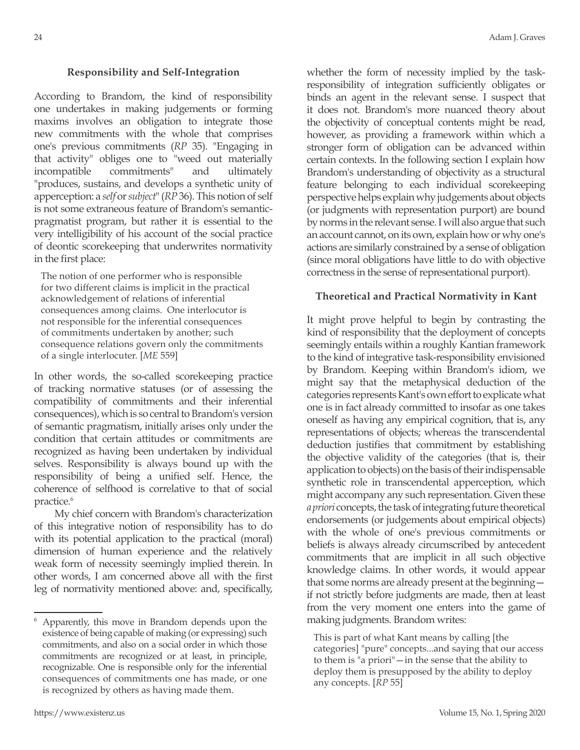#### **Responsibility and Self-Integration**

According to Brandom, the kind of responsibility one undertakes in making judgements or forming maxims involves an obligation to integrate those new commitments with the whole that comprises one's previous commitments (*RP* 35). "Engaging in that activity" obliges one to "weed out materially incompatible commitments" and ultimately "produces, sustains, and develops a synthetic unity of apperception: a *self* or *subject*" (*RP* 36). This notion of self is not some extraneous feature of Brandom's semanticpragmatist program, but rather it is essential to the very intelligibility of his account of the social practice of deontic scorekeeping that underwrites normativity in the first place:

The notion of one performer who is responsible for two different claims is implicit in the practical acknowledgement of relations of inferential consequences among claims. One interlocutor is not responsible for the inferential consequences of commitments undertaken by another; such consequence relations govern only the commitments of a single interlocuter. [*ME* 559]

In other words, the so-called scorekeeping practice of tracking normative statuses (or of assessing the compatibility of commitments and their inferential consequences), which is so central to Brandom's version of semantic pragmatism, initially arises only under the condition that certain attitudes or commitments are recognized as having been undertaken by individual selves. Responsibility is always bound up with the responsibility of being a unified self. Hence, the coherence of selfhood is correlative to that of social practice.6

My chief concern with Brandom's characterization of this integrative notion of responsibility has to do with its potential application to the practical (moral) dimension of human experience and the relatively weak form of necessity seemingly implied therein. In other words, I am concerned above all with the first leg of normativity mentioned above: and, specifically,

whether the form of necessity implied by the taskresponsibility of integration sufficiently obligates or binds an agent in the relevant sense. I suspect that it does not. Brandom's more nuanced theory about the objectivity of conceptual contents might be read, however, as providing a framework within which a stronger form of obligation can be advanced within certain contexts. In the following section I explain how Brandom's understanding of objectivity as a structural feature belonging to each individual scorekeeping perspective helps explain why judgements about objects (or judgments with representation purport) are bound by norms in the relevant sense. I will also argue that such an account cannot, on its own, explain how or why one's actions are similarly constrained by a sense of obligation (since moral obligations have little to do with objective correctness in the sense of representational purport).

#### **Theoretical and Practical Normativity in Kant**

It might prove helpful to begin by contrasting the kind of responsibility that the deployment of concepts seemingly entails within a roughly Kantian framework to the kind of integrative task-responsibility envisioned by Brandom. Keeping within Brandom's idiom, we might say that the metaphysical deduction of the categories represents Kant's own effort to explicate what one is in fact already committed to insofar as one takes oneself as having any empirical cognition, that is, any representations of objects; whereas the transcendental deduction justifies that commitment by establishing the objective validity of the categories (that is, their application to objects) on the basis of their indispensable synthetic role in transcendental apperception, which might accompany any such representation. Given these *a priori* concepts, the task of integrating future theoretical endorsements (or judgements about empirical objects) with the whole of one's previous commitments or beliefs is always already circumscribed by antecedent commitments that are implicit in all such objective knowledge claims. In other words, it would appear that some norms are already present at the beginning if not strictly before judgments are made, then at least from the very moment one enters into the game of making judgments. Brandom writes:

This is part of what Kant means by calling [the categories] "pure" concepts...and saying that our access to them is "a priori"—in the sense that the ability to deploy them is presupposed by the ability to deploy any concepts. [*RP* 55]

<sup>6</sup> Apparently, this move in Brandom depends upon the existence of being capable of making (or expressing) such commitments, and also on a social order in which those commitments are recognized or at least, in principle, recognizable. One is responsible only for the inferential consequences of commitments one has made, or one is recognized by others as having made them.

<sup>24</sup> Adam J. Graves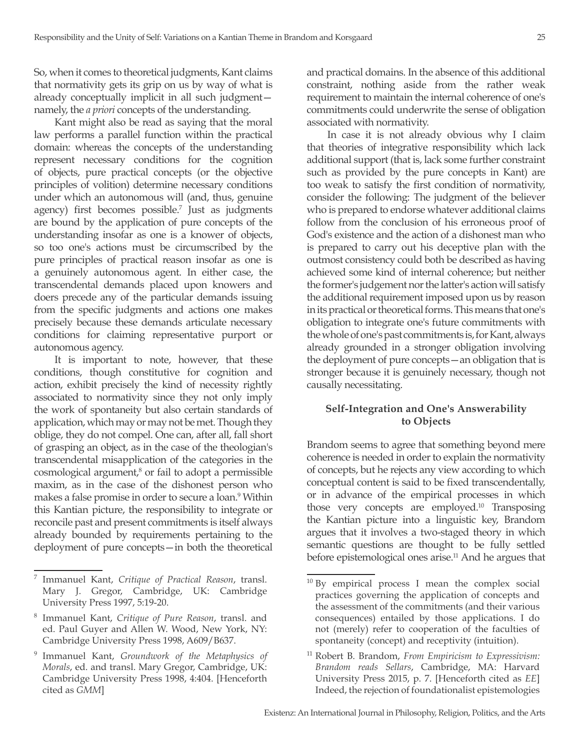So, when it comes to theoretical judgments, Kant claims that normativity gets its grip on us by way of what is already conceptually implicit in all such judgment namely, the *a priori* concepts of the understanding.

Kant might also be read as saying that the moral law performs a parallel function within the practical domain: whereas the concepts of the understanding represent necessary conditions for the cognition of objects, pure practical concepts (or the objective principles of volition) determine necessary conditions under which an autonomous will (and, thus, genuine agency) first becomes possible.<sup>7</sup> Just as judgments are bound by the application of pure concepts of the understanding insofar as one is a knower of objects, so too one's actions must be circumscribed by the pure principles of practical reason insofar as one is a genuinely autonomous agent. In either case, the transcendental demands placed upon knowers and doers precede any of the particular demands issuing from the specific judgments and actions one makes precisely because these demands articulate necessary conditions for claiming representative purport or autonomous agency.

It is important to note, however, that these conditions, though constitutive for cognition and action, exhibit precisely the kind of necessity rightly associated to normativity since they not only imply the work of spontaneity but also certain standards of application, which may or may not be met. Though they oblige, they do not compel. One can, after all, fall short of grasping an object, as in the case of the theologian's transcendental misapplication of the categories in the cosmological argument,<sup>8</sup> or fail to adopt a permissible maxim, as in the case of the dishonest person who makes a false promise in order to secure a loan.9 Within this Kantian picture, the responsibility to integrate or reconcile past and present commitments is itself always already bounded by requirements pertaining to the deployment of pure concepts—in both the theoretical

and practical domains. In the absence of this additional constraint, nothing aside from the rather weak requirement to maintain the internal coherence of one's commitments could underwrite the sense of obligation associated with normativity.

In case it is not already obvious why I claim that theories of integrative responsibility which lack additional support (that is, lack some further constraint such as provided by the pure concepts in Kant) are too weak to satisfy the first condition of normativity, consider the following: The judgment of the believer who is prepared to endorse whatever additional claims follow from the conclusion of his erroneous proof of God's existence and the action of a dishonest man who is prepared to carry out his deceptive plan with the outmost consistency could both be described as having achieved some kind of internal coherence; but neither the former's judgement nor the latter's action will satisfy the additional requirement imposed upon us by reason in its practical or theoretical forms. This means that one's obligation to integrate one's future commitments with the whole of one's past commitments is, for Kant, always already grounded in a stronger obligation involving the deployment of pure concepts—an obligation that is stronger because it is genuinely necessary, though not causally necessitating.

## **Self-Integration and One's Answerability to Objects**

Brandom seems to agree that something beyond mere coherence is needed in order to explain the normativity of concepts, but he rejects any view according to which conceptual content is said to be fixed transcendentally, or in advance of the empirical processes in which those very concepts are employed.10 Transposing the Kantian picture into a linguistic key, Brandom argues that it involves a two-staged theory in which semantic questions are thought to be fully settled before epistemological ones arise.<sup>11</sup> And he argues that

<sup>7</sup> Immanuel Kant, *Critique of Practical Reason*, transl. Mary J. Gregor, Cambridge, UK: Cambridge University Press 1997, 5:19-20.

<sup>8</sup> Immanuel Kant, *Critique of Pure Reason*, transl. and ed. Paul Guyer and Allen W. Wood, New York, NY: Cambridge University Press 1998, A609/B637.

<sup>9</sup> Immanuel Kant, *Groundwork of the Metaphysics of Morals*, ed. and transl. Mary Gregor, Cambridge, UK: Cambridge University Press 1998, 4:404. [Henceforth cited as *GMM*]

 $10$  By empirical process I mean the complex social practices governing the application of concepts and the assessment of the commitments (and their various consequences) entailed by those applications. I do not (merely) refer to cooperation of the faculties of spontaneity (concept) and receptivity (intuition).

<sup>11</sup> Robert B. Brandom, *From Empiricism to Expressivism: Brandom reads Sellars*, Cambridge, MA: Harvard University Press 2015, p. 7. [Henceforth cited as *EE*] Indeed, the rejection of foundationalist epistemologies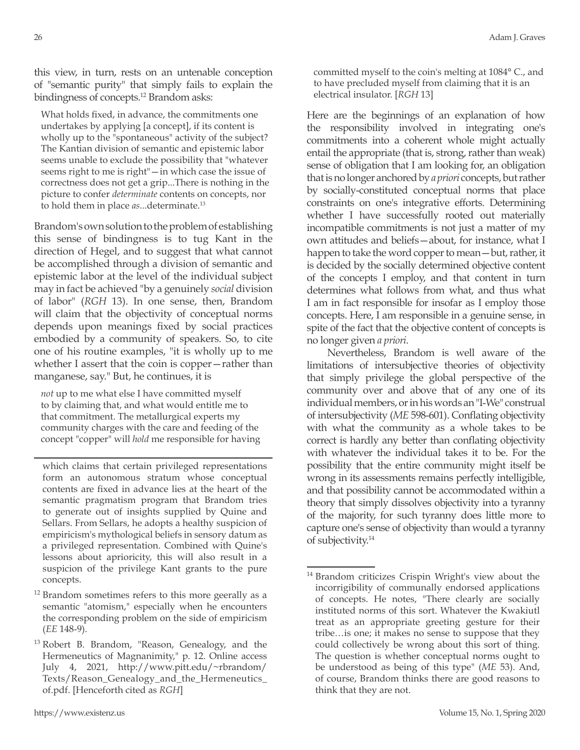this view, in turn, rests on an untenable conception of "semantic purity" that simply fails to explain the bindingness of concepts.12 Brandom asks:

What holds fixed, in advance, the commitments one undertakes by applying [a concept], if its content is wholly up to the "spontaneous" activity of the subject? The Kantian division of semantic and epistemic labor seems unable to exclude the possibility that "whatever seems right to me is right"-in which case the issue of correctness does not get a grip...There is nothing in the picture to confer *determinate* contents on concepts, nor to hold them in place *as*...determinate.13

Brandom's own solution to the problem of establishing this sense of bindingness is to tug Kant in the direction of Hegel, and to suggest that what cannot be accomplished through a division of semantic and epistemic labor at the level of the individual subject may in fact be achieved "by a genuinely *social* division of labor" (*RGH* 13). In one sense, then, Brandom will claim that the objectivity of conceptual norms depends upon meanings fixed by social practices embodied by a community of speakers. So, to cite one of his routine examples, "it is wholly up to me whether I assert that the coin is copper—rather than manganese, say." But, he continues, it is

*not* up to me what else I have committed myself to by claiming that, and what would entitle me to that commitment. The metallurgical experts my community charges with the care and feeding of the concept "copper" will *hold* me responsible for having

which claims that certain privileged representations form an autonomous stratum whose conceptual contents are fixed in advance lies at the heart of the semantic pragmatism program that Brandom tries to generate out of insights supplied by Quine and Sellars. From Sellars, he adopts a healthy suspicion of empiricism's mythological beliefs in sensory datum as a privileged representation. Combined with Quine's lessons about aprioricity, this will also result in a suspicion of the privilege Kant grants to the pure concepts.

 $12$  Brandom sometimes refers to this more geerally as a semantic "atomism," especially when he encounters the corresponding problem on the side of empiricism (*EE* 148-9).

committed myself to the coin's melting at 1084° C., and to have precluded myself from claiming that it is an electrical insulator. [*RGH* 13]

Here are the beginnings of an explanation of how the responsibility involved in integrating one's commitments into a coherent whole might actually entail the appropriate (that is, strong, rather than weak) sense of obligation that I am looking for, an obligation that is no longer anchored by *a priori* concepts, but rather by socially-constituted conceptual norms that place constraints on one's integrative efforts. Determining whether I have successfully rooted out materially incompatible commitments is not just a matter of my own attitudes and beliefs—about, for instance, what I happen to take the word copper to mean—but, rather, it is decided by the socially determined objective content of the concepts I employ, and that content in turn determines what follows from what, and thus what I am in fact responsible for insofar as I employ those concepts. Here, I am responsible in a genuine sense, in spite of the fact that the objective content of concepts is no longer given *a priori*.

Nevertheless, Brandom is well aware of the limitations of intersubjective theories of objectivity that simply privilege the global perspective of the community over and above that of any one of its individual members, or in his words an "I-We" construal of intersubjectivity (*ME* 598-601). Conflating objectivity with what the community as a whole takes to be correct is hardly any better than conflating objectivity with whatever the individual takes it to be. For the possibility that the entire community might itself be wrong in its assessments remains perfectly intelligible, and that possibility cannot be accommodated within a theory that simply dissolves objectivity into a tyranny of the majority, for such tyranny does little more to capture one's sense of objectivity than would a tyranny of subjectivity.14

<sup>&</sup>lt;sup>13</sup> Robert B. Brandom, "Reason, Genealogy, and the Hermeneutics of Magnanimity," p. 12. Online access July 4, 2021, http://www.pitt.edu/~rbrandom/ Texts/Reason\_Genealogy\_and\_the\_Hermeneutics\_ of.pdf. [Henceforth cited as *RGH*]

<sup>&</sup>lt;sup>14</sup> Brandom criticizes Crispin Wright's view about the incorrigibility of communally endorsed applications of concepts. He notes, "There clearly are socially instituted norms of this sort. Whatever the Kwakiutl treat as an appropriate greeting gesture for their tribe…is one; it makes no sense to suppose that they could collectively be wrong about this sort of thing. The question is whether conceptual norms ought to be understood as being of this type" (*ME* 53). And, of course, Brandom thinks there are good reasons to think that they are not.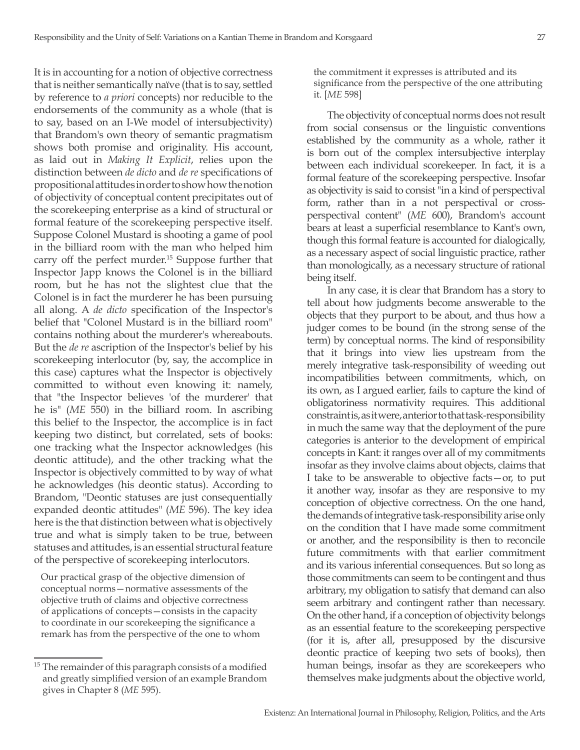It is in accounting for a notion of objective correctness that is neither semantically naïve (that is to say, settled by reference to *a priori* concepts) nor reducible to the endorsements of the community as a whole (that is to say, based on an I-We model of intersubjectivity) that Brandom's own theory of semantic pragmatism shows both promise and originality. His account, as laid out in *Making It Explicit*, relies upon the distinction between *de dicto* and *de re* specifications of propositional attitudes in order to show how the notion of objectivity of conceptual content precipitates out of the scorekeeping enterprise as a kind of structural or formal feature of the scorekeeping perspective itself. Suppose Colonel Mustard is shooting a game of pool in the billiard room with the man who helped him carry off the perfect murder.15 Suppose further that Inspector Japp knows the Colonel is in the billiard room, but he has not the slightest clue that the Colonel is in fact the murderer he has been pursuing all along. A *de dicto* specification of the Inspector's belief that "Colonel Mustard is in the billiard room" contains nothing about the murderer's whereabouts. But the *de re* ascription of the Inspector's belief by his scorekeeping interlocutor (by, say, the accomplice in this case) captures what the Inspector is objectively committed to without even knowing it: namely, that "the Inspector believes 'of the murderer' that he is" (*ME* 550) in the billiard room. In ascribing this belief to the Inspector, the accomplice is in fact keeping two distinct, but correlated, sets of books: one tracking what the Inspector acknowledges (his deontic attitude), and the other tracking what the Inspector is objectively committed to by way of what he acknowledges (his deontic status). According to Brandom, "Deontic statuses are just consequentially expanded deontic attitudes" (*ME* 596). The key idea here is the that distinction between what is objectively true and what is simply taken to be true, between statuses and attitudes, is an essential structural feature of the perspective of scorekeeping interlocutors.

Our practical grasp of the objective dimension of conceptual norms—normative assessments of the objective truth of claims and objective correctness of applications of concepts—consists in the capacity to coordinate in our scorekeeping the significance a remark has from the perspective of the one to whom the commitment it expresses is attributed and its significance from the perspective of the one attributing it. [*ME* 598]

The objectivity of conceptual norms does not result from social consensus or the linguistic conventions established by the community as a whole, rather it is born out of the complex intersubjective interplay between each individual scorekeeper. In fact, it is a formal feature of the scorekeeping perspective. Insofar as objectivity is said to consist "in a kind of perspectival form, rather than in a not perspectival or crossperspectival content" (*ME* 600), Brandom's account bears at least a superficial resemblance to Kant's own, though this formal feature is accounted for dialogically, as a necessary aspect of social linguistic practice, rather than monologically, as a necessary structure of rational being itself.

In any case, it is clear that Brandom has a story to tell about how judgments become answerable to the objects that they purport to be about, and thus how a judger comes to be bound (in the strong sense of the term) by conceptual norms. The kind of responsibility that it brings into view lies upstream from the merely integrative task-responsibility of weeding out incompatibilities between commitments, which, on its own, as I argued earlier, fails to capture the kind of obligatoriness normativity requires. This additional constraint is, as it were, anterior to that task-responsibility in much the same way that the deployment of the pure categories is anterior to the development of empirical concepts in Kant: it ranges over all of my commitments insofar as they involve claims about objects, claims that I take to be answerable to objective facts—or, to put it another way, insofar as they are responsive to my conception of objective correctness. On the one hand, the demands of integrative task-responsibility arise only on the condition that I have made some commitment or another, and the responsibility is then to reconcile future commitments with that earlier commitment and its various inferential consequences. But so long as those commitments can seem to be contingent and thus arbitrary, my obligation to satisfy that demand can also seem arbitrary and contingent rather than necessary. On the other hand, if a conception of objectivity belongs as an essential feature to the scorekeeping perspective (for it is, after all, presupposed by the discursive deontic practice of keeping two sets of books), then human beings, insofar as they are scorekeepers who themselves make judgments about the objective world,

<sup>&</sup>lt;sup>15</sup> The remainder of this paragraph consists of a modified and greatly simplified version of an example Brandom gives in Chapter 8 (*ME* 595).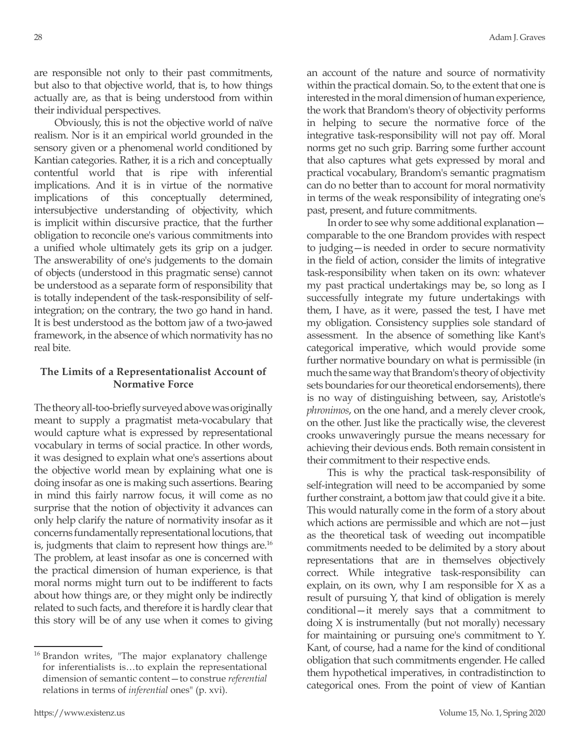are responsible not only to their past commitments, but also to that objective world, that is, to how things actually are, as that is being understood from within their individual perspectives.

Obviously, this is not the objective world of naïve realism. Nor is it an empirical world grounded in the sensory given or a phenomenal world conditioned by Kantian categories. Rather, it is a rich and conceptually contentful world that is ripe with inferential implications. And it is in virtue of the normative implications of this conceptually determined, intersubjective understanding of objectivity, which is implicit within discursive practice, that the further obligation to reconcile one's various commitments into a unified whole ultimately gets its grip on a judger. The answerability of one's judgements to the domain of objects (understood in this pragmatic sense) cannot be understood as a separate form of responsibility that is totally independent of the task-responsibility of selfintegration; on the contrary, the two go hand in hand. It is best understood as the bottom jaw of a two-jawed framework, in the absence of which normativity has no real bite.

## **The Limits of a Representationalist Account of Normative Force**

The theory all-too-briefly surveyed above was originally meant to supply a pragmatist meta-vocabulary that would capture what is expressed by representational vocabulary in terms of social practice. In other words, it was designed to explain what one's assertions about the objective world mean by explaining what one is doing insofar as one is making such assertions. Bearing in mind this fairly narrow focus, it will come as no surprise that the notion of objectivity it advances can only help clarify the nature of normativity insofar as it concerns fundamentally representational locutions, that is, judgments that claim to represent how things are.16 The problem, at least insofar as one is concerned with the practical dimension of human experience, is that moral norms might turn out to be indifferent to facts about how things are, or they might only be indirectly related to such facts, and therefore it is hardly clear that this story will be of any use when it comes to giving

an account of the nature and source of normativity within the practical domain. So, to the extent that one is interested in the moral dimension of human experience, the work that Brandom's theory of objectivity performs in helping to secure the normative force of the integrative task-responsibility will not pay off. Moral norms get no such grip. Barring some further account that also captures what gets expressed by moral and practical vocabulary, Brandom's semantic pragmatism can do no better than to account for moral normativity in terms of the weak responsibility of integrating one's past, present, and future commitments.

In order to see why some additional explanation comparable to the one Brandom provides with respect to judging—is needed in order to secure normativity in the field of action, consider the limits of integrative task-responsibility when taken on its own: whatever my past practical undertakings may be, so long as I successfully integrate my future undertakings with them, I have, as it were, passed the test, I have met my obligation. Consistency supplies sole standard of assessment. In the absence of something like Kant's categorical imperative, which would provide some further normative boundary on what is permissible (in much the same way that Brandom's theory of objectivity sets boundaries for our theoretical endorsements), there is no way of distinguishing between, say, Aristotle's *phronimos*, on the one hand, and a merely clever crook, on the other. Just like the practically wise, the cleverest crooks unwaveringly pursue the means necessary for achieving their devious ends. Both remain consistent in their commitment to their respective ends.

This is why the practical task-responsibility of self-integration will need to be accompanied by some further constraint, a bottom jaw that could give it a bite. This would naturally come in the form of a story about which actions are permissible and which are not—just as the theoretical task of weeding out incompatible commitments needed to be delimited by a story about representations that are in themselves objectively correct. While integrative task-responsibility can explain, on its own, why I am responsible for X as a result of pursuing Y, that kind of obligation is merely conditional—it merely says that a commitment to doing X is instrumentally (but not morally) necessary for maintaining or pursuing one's commitment to Y. Kant, of course, had a name for the kind of conditional obligation that such commitments engender. He called them hypothetical imperatives, in contradistinction to categorical ones. From the point of view of Kantian

<sup>&</sup>lt;sup>16</sup> Brandon writes, "The major explanatory challenge for inferentialists is…to explain the representational dimension of semantic content—to construe *referential* relations in terms of *inferential* ones" (p. xvi).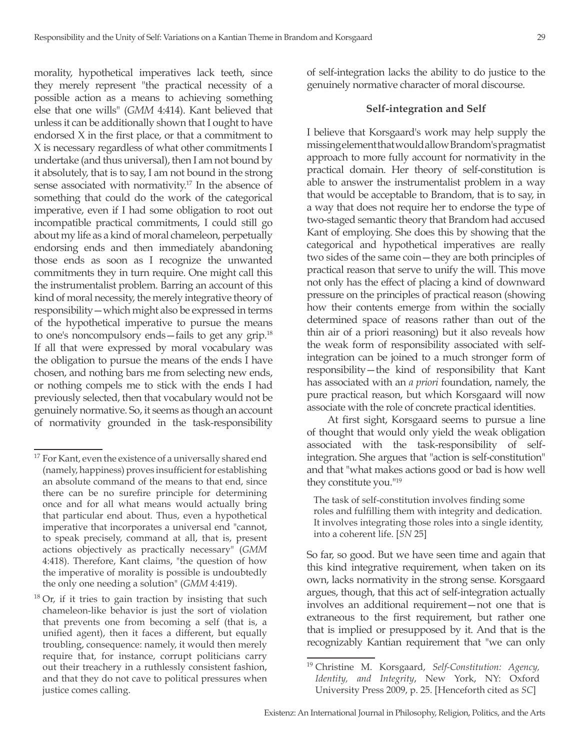morality, hypothetical imperatives lack teeth, since they merely represent "the practical necessity of a possible action as a means to achieving something else that one wills" (*GMM* 4:414). Kant believed that unless it can be additionally shown that I ought to have endorsed X in the first place, or that a commitment to X is necessary regardless of what other commitments I undertake (and thus universal), then I am not bound by it absolutely, that is to say, I am not bound in the strong sense associated with normativity.17 In the absence of something that could do the work of the categorical imperative, even if I had some obligation to root out incompatible practical commitments, I could still go about my life as a kind of moral chameleon, perpetually endorsing ends and then immediately abandoning those ends as soon as I recognize the unwanted commitments they in turn require. One might call this the instrumentalist problem. Barring an account of this kind of moral necessity, the merely integrative theory of responsibility—which might also be expressed in terms of the hypothetical imperative to pursue the means to one's noncompulsory ends—fails to get any grip.18 If all that were expressed by moral vocabulary was the obligation to pursue the means of the ends I have chosen, and nothing bars me from selecting new ends, or nothing compels me to stick with the ends I had previously selected, then that vocabulary would not be genuinely normative. So, it seems as though an account of normativity grounded in the task-responsibility

Or, if it tries to gain traction by insisting that such chameleon-like behavior is just the sort of violation that prevents one from becoming a self (that is, a unified agent), then it faces a different, but equally troubling, consequence: namely, it would then merely require that, for instance, corrupt politicians carry out their treachery in a ruthlessly consistent fashion, and that they do not cave to political pressures when justice comes calling.

of self-integration lacks the ability to do justice to the genuinely normative character of moral discourse.

### **Self-integration and Self**

I believe that Korsgaard's work may help supply the missing element that would allow Brandom's pragmatist approach to more fully account for normativity in the practical domain. Her theory of self-constitution is able to answer the instrumentalist problem in a way that would be acceptable to Brandom, that is to say, in a way that does not require her to endorse the type of two-staged semantic theory that Brandom had accused Kant of employing. She does this by showing that the categorical and hypothetical imperatives are really two sides of the same coin—they are both principles of practical reason that serve to unify the will. This move not only has the effect of placing a kind of downward pressure on the principles of practical reason (showing how their contents emerge from within the socially determined space of reasons rather than out of the thin air of a priori reasoning) but it also reveals how the weak form of responsibility associated with selfintegration can be joined to a much stronger form of responsibility—the kind of responsibility that Kant has associated with an *a priori* foundation, namely, the pure practical reason, but which Korsgaard will now associate with the role of concrete practical identities.

At first sight, Korsgaard seems to pursue a line of thought that would only yield the weak obligation associated with the task-responsibility of selfintegration. She argues that "action is self-constitution" and that "what makes actions good or bad is how well they constitute you."19

The task of self-constitution involves finding some roles and fulfilling them with integrity and dedication. It involves integrating those roles into a single identity, into a coherent life. [*SN* 25]

So far, so good. But we have seen time and again that this kind integrative requirement, when taken on its own, lacks normativity in the strong sense. Korsgaard argues, though, that this act of self-integration actually involves an additional requirement—not one that is extraneous to the first requirement, but rather one that is implied or presupposed by it. And that is the recognizably Kantian requirement that "we can only

<sup>&</sup>lt;sup>17</sup> For Kant, even the existence of a universally shared end (namely, happiness) proves insufficient for establishing an absolute command of the means to that end, since there can be no surefire principle for determining once and for all what means would actually bring that particular end about. Thus, even a hypothetical imperative that incorporates a universal end "cannot, to speak precisely, command at all, that is, present actions objectively as practically necessary" (*GMM* 4:418). Therefore, Kant claims, "the question of how the imperative of morality is possible is undoubtedly the only one needing a solution" (*GMM* 4:419).

<sup>19</sup> Christine M. Korsgaard, *Self-Constitution: Agency, Identity, and Integrity*, New York, NY: Oxford University Press 2009, p. 25. [Henceforth cited as *SC*]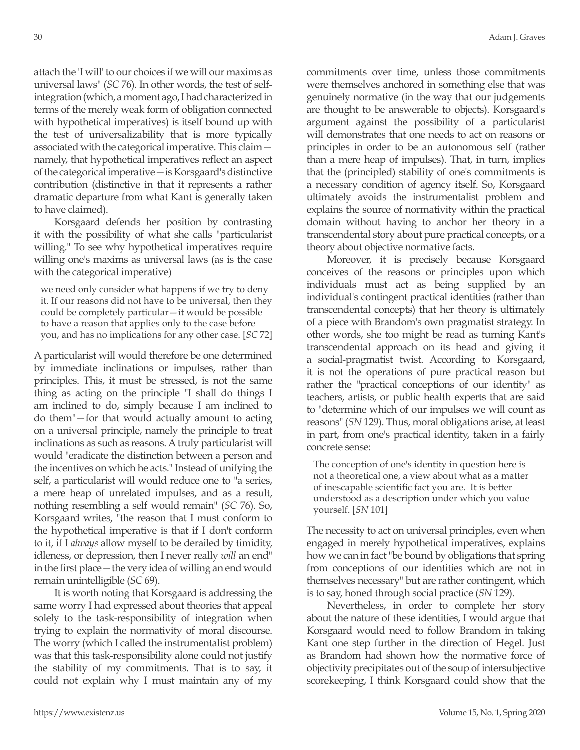attach the 'I will' to our choices if we will our maxims as universal laws" (*SC* 76). In other words, the test of selfintegration (which, a moment ago, I had characterized in terms of the merely weak form of obligation connected with hypothetical imperatives) is itself bound up with the test of universalizability that is more typically associated with the categorical imperative. This claim namely, that hypothetical imperatives reflect an aspect of the categorical imperative—is Korsgaard's distinctive contribution (distinctive in that it represents a rather dramatic departure from what Kant is generally taken to have claimed).

Korsgaard defends her position by contrasting it with the possibility of what she calls "particularist willing." To see why hypothetical imperatives require willing one's maxims as universal laws (as is the case with the categorical imperative)

we need only consider what happens if we try to deny it. If our reasons did not have to be universal, then they could be completely particular—it would be possible to have a reason that applies only to the case before you, and has no implications for any other case. [*SC* 72]

A particularist will would therefore be one determined by immediate inclinations or impulses, rather than principles. This, it must be stressed, is not the same thing as acting on the principle "I shall do things I am inclined to do, simply because I am inclined to do them"—for that would actually amount to acting on a universal principle, namely the principle to treat inclinations as such as reasons. A truly particularist will would "eradicate the distinction between a person and the incentives on which he acts." Instead of unifying the self, a particularist will would reduce one to "a series, a mere heap of unrelated impulses, and as a result, nothing resembling a self would remain" (*SC* 76). So, Korsgaard writes, "the reason that I must conform to the hypothetical imperative is that if I don't conform to it, if I *always* allow myself to be derailed by timidity, idleness, or depression, then I never really *will* an end" in the first place—the very idea of willing an end would remain unintelligible (*SC* 69).

It is worth noting that Korsgaard is addressing the same worry I had expressed about theories that appeal solely to the task-responsibility of integration when trying to explain the normativity of moral discourse. The worry (which I called the instrumentalist problem) was that this task-responsibility alone could not justify the stability of my commitments. That is to say, it could not explain why I must maintain any of my commitments over time, unless those commitments were themselves anchored in something else that was genuinely normative (in the way that our judgements are thought to be answerable to objects). Korsgaard's argument against the possibility of a particularist will demonstrates that one needs to act on reasons or principles in order to be an autonomous self (rather than a mere heap of impulses). That, in turn, implies that the (principled) stability of one's commitments is a necessary condition of agency itself. So, Korsgaard ultimately avoids the instrumentalist problem and explains the source of normativity within the practical domain without having to anchor her theory in a transcendental story about pure practical concepts, or a theory about objective normative facts.

Moreover, it is precisely because Korsgaard conceives of the reasons or principles upon which individuals must act as being supplied by an individual's contingent practical identities (rather than transcendental concepts) that her theory is ultimately of a piece with Brandom's own pragmatist strategy. In other words, she too might be read as turning Kant's transcendental approach on its head and giving it a social-pragmatist twist. According to Korsgaard, it is not the operations of pure practical reason but rather the "practical conceptions of our identity" as teachers, artists, or public health experts that are said to "determine which of our impulses we will count as reasons" (*SN* 129). Thus, moral obligations arise, at least in part, from one's practical identity, taken in a fairly concrete sense:

The conception of one's identity in question here is not a theoretical one, a view about what as a matter of inescapable scientific fact you are. It is better understood as a description under which you value yourself. [*SN* 101]

The necessity to act on universal principles, even when engaged in merely hypothetical imperatives, explains how we can in fact "be bound by obligations that spring from conceptions of our identities which are not in themselves necessary" but are rather contingent, which is to say, honed through social practice (*SN* 129).

Nevertheless, in order to complete her story about the nature of these identities, I would argue that Korsgaard would need to follow Brandom in taking Kant one step further in the direction of Hegel. Just as Brandom had shown how the normative force of objectivity precipitates out of the soup of intersubjective scorekeeping, I think Korsgaard could show that the